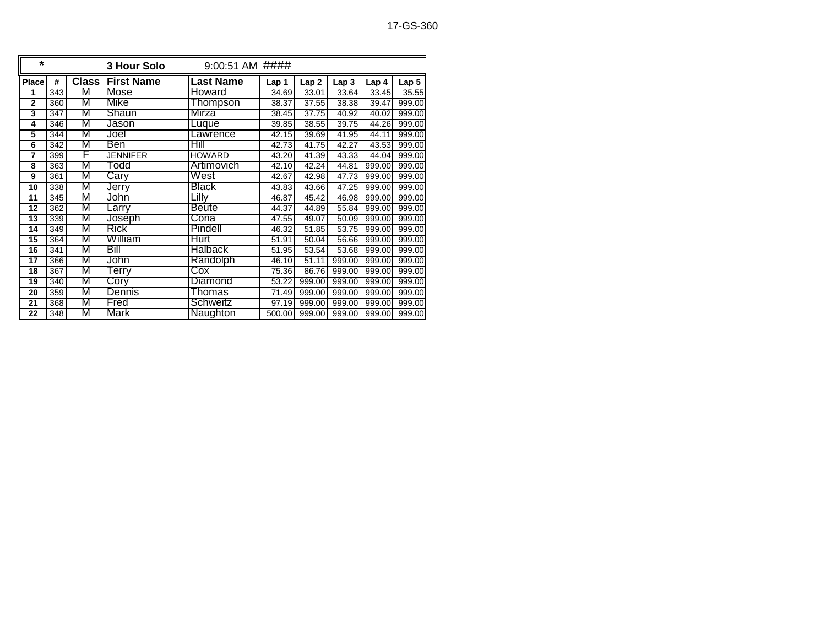| $\star$         | 9:00:51 AM ####<br>3 Hour Solo |              |                   |                         |                    |                    |        |                  |                  |  |
|-----------------|--------------------------------|--------------|-------------------|-------------------------|--------------------|--------------------|--------|------------------|------------------|--|
| Place           | #                              | <b>Class</b> | <b>First Name</b> | <b>Last Name</b>        | Lap 1              | Lap <sub>2</sub>   | Lap 3  | Lap <sub>4</sub> | Lap <sub>5</sub> |  |
| 1               | 343                            | M            | <b>Mose</b>       | Howard                  | 34.69              | 33.01              | 33.64  | 33.45            | 35.55            |  |
| $\overline{2}$  | 360                            | М            | Mike              | Thompson                | 38.37              | 37.55              | 38.38  | 39.47            | 999.00           |  |
| 3               | 347                            | M            | Shaun             | Mirza                   | 38.45              | 37.75              | 40.92  | 40.02            | 999.00           |  |
| 4               | 346                            | М            | Jason             | Luque                   | 39.85              | 38.55              | 39.75  | 44.26            | 999.00           |  |
| 5               | 344                            | M            | Joel              | Lawrence                | 42.15              | 39.69              | 41.95  | 44.11            | 999.00           |  |
| $6\overline{6}$ | 342                            | M            | Ben               | Hill                    | 42.73              | 41.75              | 42.27  | 43.53            | 999.00           |  |
| $\overline{7}$  | 399                            | F            | <b>JENNIFER</b>   | <b>HOWARD</b>           | 43.20              | 41.39              | 43.33  | 44.04            | 999.00           |  |
| 8               | 363                            | M            | ⊺odd              | Artimovich              | 42.10              | 42.24              | 44.81  | 999.00           | 999.00           |  |
| 9               | 361                            | M            | Carv              | West                    | 42.67              | 42.98              | 47.73  | 999.00           | 999.00           |  |
| 10              | 338                            | M            | Jerry             | <b>Black</b>            | 43.83              | 43.66              | 47.25  | 999.00           | 999.00           |  |
| 11              | 345                            | M            | John              | Lillv                   | 46.87              | 45.42              | 46.98  | 999.00           | 999.00           |  |
| 12              | 362                            | М            | Larrv             | <b>Beute</b>            | 44.37              | 44.89              | 55.84  | 999.00           | 999.00           |  |
| $\overline{13}$ | 339                            | M            | Joseph            | Cona                    | $\overline{47.55}$ | 49.07              | 50.09  | 999.00           | 999.00           |  |
| 14              | 349                            | M            | Rick              | Pindell                 | 46.32              | 51.85              | 53.75  | 999.00           | 999.00           |  |
| 15              | 364                            | M            | William           | Hurt                    | 51.91              | $\overline{50.04}$ | 56.66  | 999.00           | 999.00           |  |
| 16              | 341                            | M            | Bill              | <b>Halback</b>          | 51.95              | 53.54              | 53.68  | 999.00           | 999.00           |  |
| 17              | 366                            | M            | John              | Randolph                | 46.10              | 51.11              | 999.00 | 999.00           | 999.00           |  |
| 18              | 367                            | M            | erry              | $\overline{\text{Cox}}$ | 75.36              | 86.76              | 999.00 | 999.00           | 999.00           |  |
| 19              | 340                            | М            | Cory              | Diamond                 | 53.22              | 999.00             | 999.00 | 999.00           | 999.00           |  |
| 20              | 359                            | M            | Dennis            | Thomas                  | 71.49              | 999.00             | 999.00 | 999.00           | 999.00           |  |
| 21              | 368                            | M            | Fred              | Schweitz                | 97.19              | 999.00             | 999.00 | 999.00           | 999.00           |  |
| $\overline{22}$ | 348                            | M            | Mark              | Naughton                | 500.00             | 999.00             | 999.00 | 999.00           | 999.00           |  |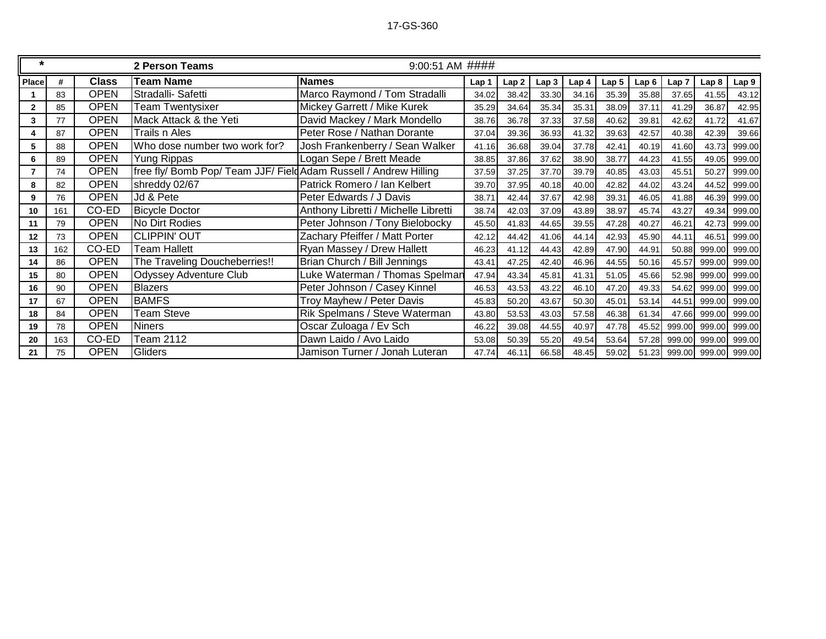| $\star$        |     |              | 2 Person Teams                                                    | $9:00:51$ AM ####                    |       |       |       |       |                  |       |        |                      |        |
|----------------|-----|--------------|-------------------------------------------------------------------|--------------------------------------|-------|-------|-------|-------|------------------|-------|--------|----------------------|--------|
| <b>Place</b>   | #   | <b>Class</b> | <b>Team Name</b>                                                  | <b>Names</b>                         | Lap 1 | Lap2  | Lap3  | Lap 4 | Lap <sub>5</sub> | Lap6  | Lap 7  | Lap <sub>8</sub>     | Lap 9  |
|                | 83  | <b>OPEN</b>  | Stradalli- Safetti                                                | Marco Raymond / Tom Stradalli        | 34.02 | 38.42 | 33.30 | 34.16 | 35.39            | 35.88 | 37.65  | 41.55                | 43.12  |
| $\mathbf{2}$   | 85  | <b>OPEN</b>  | Team Twentysixer                                                  | Mickey Garrett / Mike Kurek          | 35.29 | 34.64 | 35.34 | 35.31 | 38.09            | 37.11 | 41.29  | 36.87                | 42.95  |
| 3              | 77  | <b>OPEN</b>  | Mack Attack & the Yeti                                            | David Mackey / Mark Mondello         | 38.76 | 36.78 | 37.33 | 37.58 | 40.62            | 39.81 | 42.62  | 41.72                | 41.67  |
| 4              | 87  | <b>OPEN</b>  | Trails n Ales                                                     | Peter Rose / Nathan Dorante          | 37.04 | 39.36 | 36.93 | 41.32 | 39.63            | 42.57 | 40.38  | 42.39                | 39.66  |
| 5              | 88  | <b>OPEN</b>  | Who dose number two work for?                                     | Josh Frankenberry / Sean Walker      | 41.16 | 36.68 | 39.04 | 37.78 | 42.41            | 40.19 | 41.60  | 43.73                | 999.00 |
| 6              | 89  | <b>OPEN</b>  | <b>Yung Rippas</b>                                                | Logan Sepe / Brett Meade             | 38.85 | 37.86 | 37.62 | 38.90 | 38.77            | 44.23 | 41.55  | 49.05                | 999.00 |
| $\overline{7}$ | 74  | <b>OPEN</b>  | free fly/ Bomb Pop/ Team JJF/ Field Adam Russell / Andrew Hilling |                                      | 37.59 | 37.25 | 37.70 | 39.79 | 40.85            | 43.03 | 45.51  | 50.27                | 999.00 |
| 8              | 82  | <b>OPEN</b>  | shreddy 02/67                                                     | Patrick Romero / Ian Kelbert         | 39.70 | 37.95 | 40.18 | 40.00 | 42.82            | 44.02 | 43.24  | 44.52                | 999.00 |
| 9              | 76  | <b>OPEN</b>  | Jd & Pete                                                         | Peter Edwards / J Davis              | 38.71 | 42.44 | 37.67 | 42.98 | 39.31            | 46.05 | 41.88  | 46.39                | 999.00 |
| 10             | 161 | CO-ED        | <b>Bicycle Doctor</b>                                             | Anthony Libretti / Michelle Libretti | 38.74 | 42.03 | 37.09 | 43.89 | 38.97            | 45.74 | 43.27  | 49.34                | 999.00 |
| 11             | 79  | <b>OPEN</b>  | No Dirt Rodies                                                    | Peter Johnson / Tony Bielobocky      | 45.50 | 41.83 | 44.65 | 39.55 | 47.28            | 40.27 | 46.21  | 42.73                | 999.00 |
| 12             | 73  | <b>OPEN</b>  | <b>CLIPPIN' OUT</b>                                               | Zachary Pfeiffer / Matt Porter       | 42.12 | 44.42 | 41.06 | 44.14 | 42.93            | 45.90 | 44.11  | 46.51                | 999.00 |
| 13             | 162 | CO-ED        | <b>Team Hallett</b>                                               | Ryan Massey / Drew Hallett           | 46.23 | 41.12 | 44.43 | 42.89 | 47.90            | 44.91 | 50.88  | 999.00               | 999.00 |
| 14             | 86  | <b>OPEN</b>  | The Traveling Doucheberries!!                                     | Brian Church / Bill Jennings         | 43.41 | 47.25 | 42.40 | 46.96 | 44.55            | 50.16 | 45.57  | 999.00               | 999.00 |
| 15             | 80  | <b>OPEN</b>  | <b>Odyssey Adventure Club</b>                                     | Luke Waterman / Thomas Spelman       | 47.94 | 43.34 | 45.81 | 41.31 | 51.05            | 45.66 | 52.98  | 999.00               | 999.00 |
| 16             | 90  | <b>OPEN</b>  | <b>Blazers</b>                                                    | Peter Johnson / Casey Kinnel         | 46.53 | 43.53 | 43.22 | 46.10 | 47.20            | 49.33 | 54.62  | 999.00               | 999.00 |
| 17             | 67  | <b>OPEN</b>  | <b>BAMFS</b>                                                      | Troy Mayhew / Peter Davis            | 45.83 | 50.20 | 43.67 | 50.30 | 45.01            | 53.14 | 44.51  | 999.00               | 999.00 |
| 18             | 84  | <b>OPEN</b>  | <b>Team Steve</b>                                                 | Rik Spelmans / Steve Waterman        | 43.80 | 53.53 | 43.03 | 57.58 | 46.38            | 61.34 | 47.66  | 999.00               | 999.00 |
| 19             | 78  | <b>OPEN</b>  | <b>Niners</b>                                                     | Oscar Zuloaga / Ev Sch               | 46.22 | 39.08 | 44.55 | 40.97 | 47.78            | 45.52 | 999.00 | 999.00               | 999.00 |
| 20             | 163 | CO-ED        | Team 2112                                                         | Dawn Laido / Avo Laido               | 53.08 | 50.39 | 55.20 | 49.54 | 53.64            | 57.28 | 999.00 | 999.00               | 999.00 |
| 21             | 75  | <b>OPEN</b>  | Gliders                                                           | Jamison Turner / Jonah Luteran       | 47.74 | 46.11 | 66.58 | 48.45 | 59.02            | 51.23 |        | 999.00 999.00 999.00 |        |